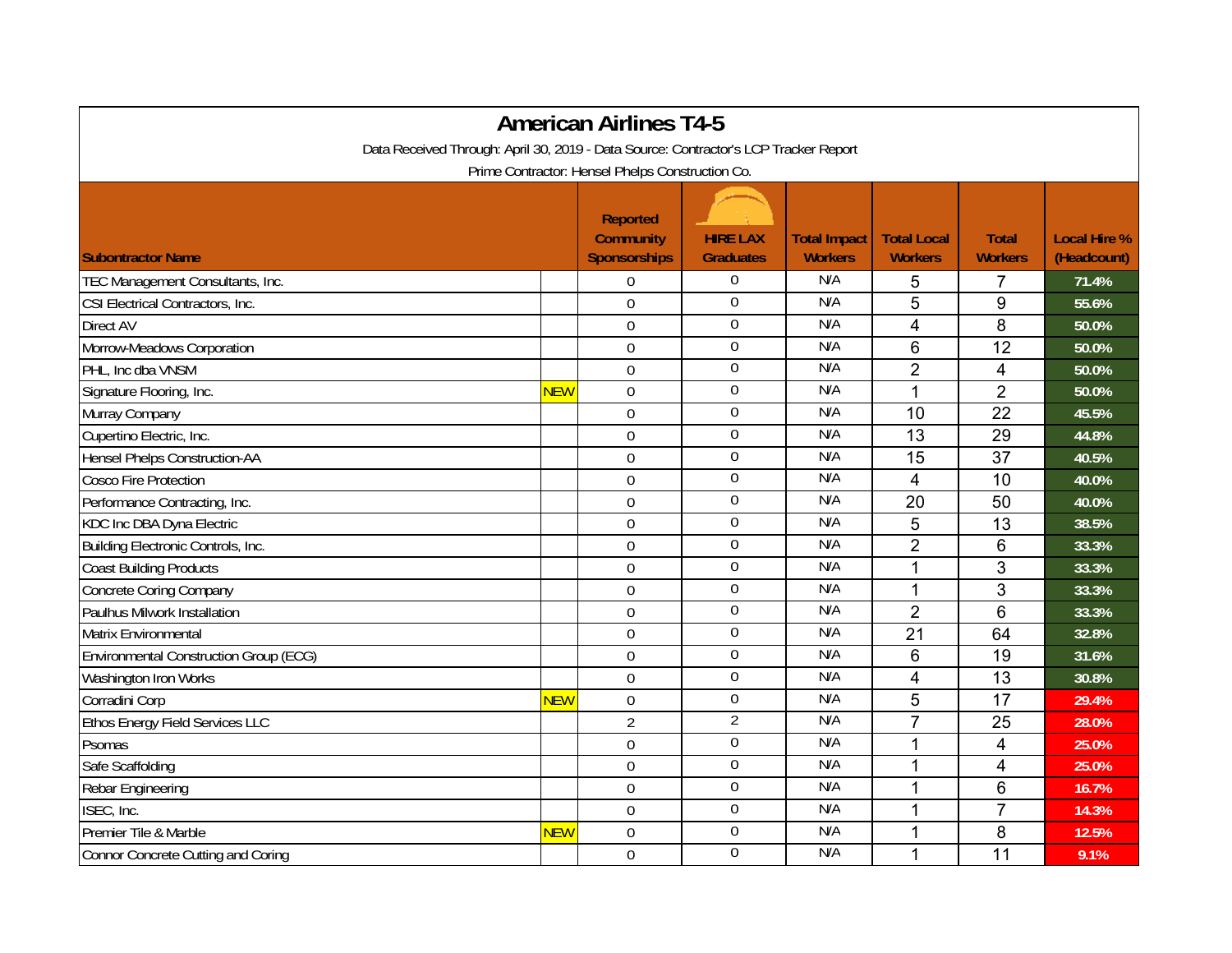| <b>American Airlines T4-5</b>                                                        |            |                                                            |                                     |                                       |                                      |                                |                                    |  |  |  |  |  |
|--------------------------------------------------------------------------------------|------------|------------------------------------------------------------|-------------------------------------|---------------------------------------|--------------------------------------|--------------------------------|------------------------------------|--|--|--|--|--|
| Data Received Through: April 30, 2019 - Data Source: Contractor's LCP Tracker Report |            |                                                            |                                     |                                       |                                      |                                |                                    |  |  |  |  |  |
| Prime Contractor: Hensel Phelps Construction Co.                                     |            |                                                            |                                     |                                       |                                      |                                |                                    |  |  |  |  |  |
| <b>Subontractor Name</b>                                                             |            | <b>Reported</b><br><b>Community</b><br><b>Sponsorships</b> | <b>HIRE LAX</b><br><b>Graduates</b> | <b>Total Impact</b><br><b>Workers</b> | <b>Total Local</b><br><b>Workers</b> | <b>Total</b><br><b>Workers</b> | <b>Local Hire %</b><br>(Headcount) |  |  |  |  |  |
| TEC Management Consultants, Inc.                                                     |            | $\Omega$                                                   | $\overline{0}$                      | N/A                                   | 5                                    | 7                              | 71.4%                              |  |  |  |  |  |
| CSI Electrical Contractors, Inc.                                                     |            | $\mathbf 0$                                                | 0                                   | N/A                                   | 5                                    | 9                              | 55.6%                              |  |  |  |  |  |
| Direct AV                                                                            |            | $\overline{0}$                                             | $\mathbf 0$                         | N/A                                   | $\overline{4}$                       | 8                              | 50.0%                              |  |  |  |  |  |
| Morrow-Meadows Corporation                                                           |            | $\overline{0}$                                             | $\boldsymbol{0}$                    | N/A                                   | 6                                    | 12                             | 50.0%                              |  |  |  |  |  |
| PHL, Inc dba VNSM                                                                    |            | $\overline{0}$                                             | $\boldsymbol{0}$                    | N/A                                   | $\overline{2}$                       | $\overline{4}$                 | 50.0%                              |  |  |  |  |  |
| Signature Flooring, Inc.                                                             | <b>NEW</b> | $\mathbf 0$                                                | $\overline{0}$                      | N/A                                   | $\mathbf{1}$                         | $\overline{2}$                 | 50.0%                              |  |  |  |  |  |
| Murray Company                                                                       |            | $\mathbf 0$                                                | $\boldsymbol{0}$                    | N/A                                   | 10                                   | 22                             | 45.5%                              |  |  |  |  |  |
| Cupertino Electric, Inc.                                                             |            | $\mathbf 0$                                                | $\overline{0}$                      | N/A                                   | 13                                   | 29                             | 44.8%                              |  |  |  |  |  |
| Hensel Phelps Construction-AA                                                        |            | $\mathbf 0$                                                | $\boldsymbol{0}$                    | N/A                                   | 15                                   | 37                             | 40.5%                              |  |  |  |  |  |
| Cosco Fire Protection                                                                |            | $\Omega$                                                   | $\mathbf 0$                         | N/A                                   | $\overline{4}$                       | 10                             | 40.0%                              |  |  |  |  |  |
| Performance Contracting, Inc.                                                        |            | $\mathbf 0$                                                | 0                                   | N/A                                   | 20                                   | 50                             | 40.0%                              |  |  |  |  |  |
| KDC Inc DBA Dyna Electric                                                            |            | $\mathbf 0$                                                | $\overline{0}$                      | N/A                                   | 5                                    | 13                             | 38.5%                              |  |  |  |  |  |
| Building Electronic Controls, Inc.                                                   |            | $\mathbf 0$                                                | $\boldsymbol{0}$                    | N/A                                   | $\overline{2}$                       | $6\phantom{1}$                 | 33.3%                              |  |  |  |  |  |
| <b>Coast Building Products</b>                                                       |            | $\Omega$                                                   | 0                                   | N/A                                   | 1                                    | 3                              | 33.3%                              |  |  |  |  |  |
| <b>Concrete Coring Company</b>                                                       |            | $\mathbf 0$                                                | 0                                   | N/A                                   | 1                                    | 3                              | 33.3%                              |  |  |  |  |  |
| Paulhus Milwork Installation                                                         |            | $\mathbf 0$                                                | $\overline{0}$                      | N/A                                   | $\overline{2}$                       | 6                              | 33.3%                              |  |  |  |  |  |
| Matrix Environmental                                                                 |            | $\Omega$                                                   | 0                                   | N/A                                   | 21                                   | 64                             | 32.8%                              |  |  |  |  |  |
| Environmental Construction Group (ECG)                                               |            | $\mathbf 0$                                                | $\boldsymbol{0}$                    | N/A                                   | 6                                    | 19                             | 31.6%                              |  |  |  |  |  |
| Washington Iron Works                                                                |            | $\overline{0}$                                             | $\overline{0}$                      | N/A                                   | 4                                    | 13                             | 30.8%                              |  |  |  |  |  |
| Corradini Corp                                                                       | <b>NEW</b> | $\mathbf 0$                                                | $\boldsymbol{0}$                    | N/A                                   | 5                                    | 17                             | 29.4%                              |  |  |  |  |  |
| Ethos Energy Field Services LLC                                                      |            | $\overline{2}$                                             | $\overline{2}$                      | N/A                                   | $\overline{7}$                       | 25                             | 28.0%                              |  |  |  |  |  |
| Psomas                                                                               |            | $\overline{0}$                                             | $\overline{0}$                      | N/A                                   | 1                                    | 4                              | 25.0%                              |  |  |  |  |  |
| Safe Scaffolding                                                                     |            | $\overline{0}$                                             | $\mathbf 0$                         | N/A                                   | 1                                    | 4                              | 25.0%                              |  |  |  |  |  |
| Rebar Engineering                                                                    |            | $\mathbf 0$                                                | $\overline{0}$                      | N/A                                   | 1                                    | $6\phantom{1}6$                | 16.7%                              |  |  |  |  |  |
| ISEC, Inc.                                                                           |            | $\mathbf 0$                                                | $\overline{0}$                      | N/A                                   | 1                                    | $\overline{7}$                 | 14.3%                              |  |  |  |  |  |
| Premier Tile & Marble                                                                | <b>NEW</b> | $\mathbf 0$                                                | $\boldsymbol{0}$                    | N/A                                   |                                      | 8                              | 12.5%                              |  |  |  |  |  |
| Connor Concrete Cutting and Coring                                                   |            | $\mathbf 0$                                                | $\mathbf 0$                         | N/A                                   | 1                                    | 11                             | 9.1%                               |  |  |  |  |  |